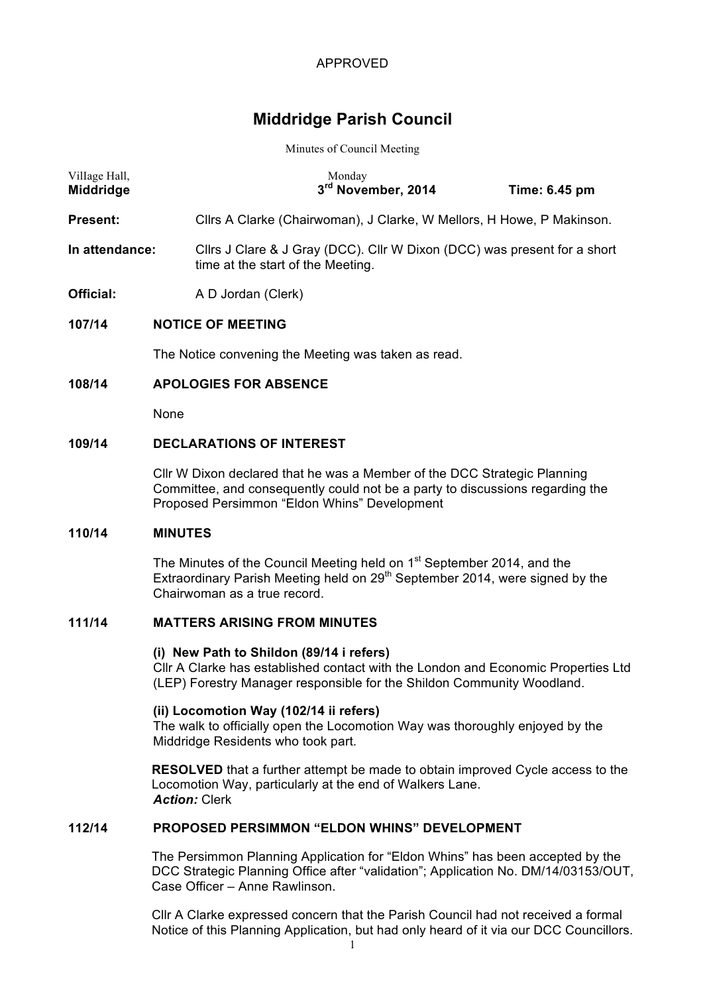# **Middridge Parish Council**

#### Minutes of Council Meeting

| Village Hall,<br><b>Middridge</b> |  |                                                                                                               | Monday<br>3rd November, 2014 |  | Time: 6.45 pm |  |  |
|-----------------------------------|--|---------------------------------------------------------------------------------------------------------------|------------------------------|--|---------------|--|--|
| <b>Present:</b>                   |  | Cllrs A Clarke (Chairwoman), J Clarke, W Mellors, H Howe, P Makinson.                                         |                              |  |               |  |  |
| In attendance:                    |  | Cllrs J Clare & J Gray (DCC). Cllr W Dixon (DCC) was present for a short<br>time at the start of the Meeting. |                              |  |               |  |  |
| Official:                         |  | A D Jordan (Clerk)                                                                                            |                              |  |               |  |  |
| 107/14                            |  | <b>NOTICE OF MEETING</b>                                                                                      |                              |  |               |  |  |
|                                   |  | The Notice convening the Meeting was taken as read.                                                           |                              |  |               |  |  |
|                                   |  |                                                                                                               |                              |  |               |  |  |

# **108/14 APOLOGIES FOR ABSENCE**

None

#### **109/14 DECLARATIONS OF INTEREST**

Cllr W Dixon declared that he was a Member of the DCC Strategic Planning Committee, and consequently could not be a party to discussions regarding the Proposed Persimmon "Eldon Whins" Development

#### **110/14 MINUTES**

The Minutes of the Council Meeting held on 1<sup>st</sup> September 2014, and the Extraordinary Parish Meeting held on 29<sup>th</sup> September 2014, were signed by the Chairwoman as a true record.

## **111/14 MATTERS ARISING FROM MINUTES**

#### **(i) New Path to Shildon (89/14 i refers)**

Cllr A Clarke has established contact with the London and Economic Properties Ltd (LEP) Forestry Manager responsible for the Shildon Community Woodland.

#### **(ii) Locomotion Way (102/14 ii refers)**

The walk to officially open the Locomotion Way was thoroughly enjoyed by the Middridge Residents who took part.

**RESOLVED** that a further attempt be made to obtain improved Cycle access to the Locomotion Way, particularly at the end of Walkers Lane. *Action:* Clerk

# **112/14 PROPOSED PERSIMMON "ELDON WHINS" DEVELOPMENT**

The Persimmon Planning Application for "Eldon Whins" has been accepted by the DCC Strategic Planning Office after "validation"; Application No. DM/14/03153/OUT, Case Officer – Anne Rawlinson.

Cllr A Clarke expressed concern that the Parish Council had not received a formal Notice of this Planning Application, but had only heard of it via our DCC Councillors.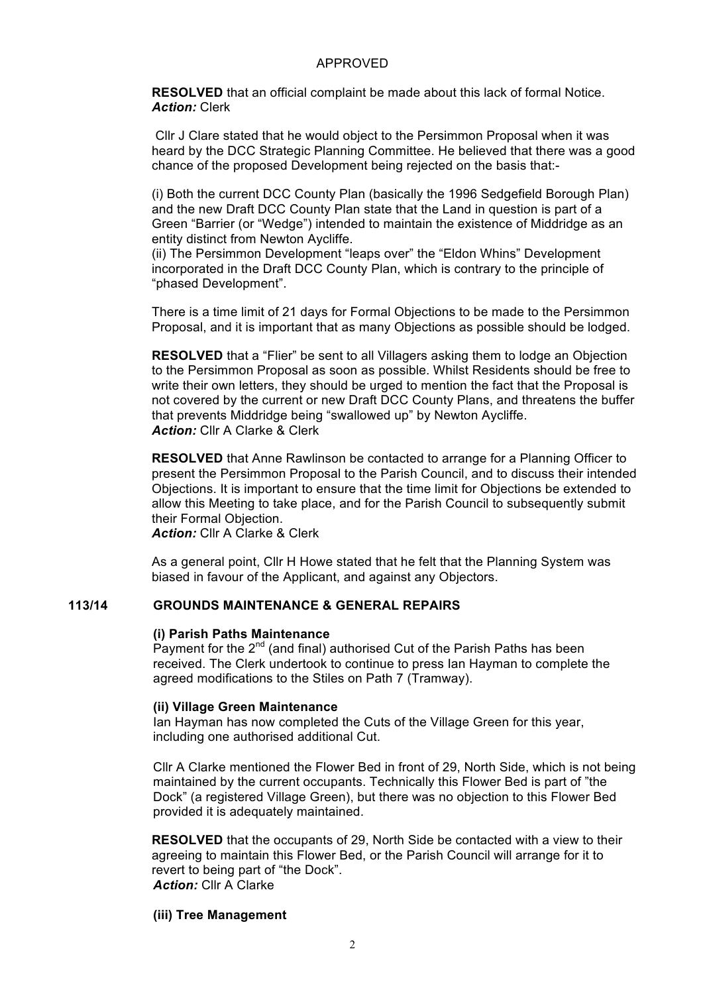**RESOLVED** that an official complaint be made about this lack of formal Notice. *Action:* Clerk

Cllr J Clare stated that he would object to the Persimmon Proposal when it was heard by the DCC Strategic Planning Committee. He believed that there was a good chance of the proposed Development being rejected on the basis that:-

(i) Both the current DCC County Plan (basically the 1996 Sedgefield Borough Plan) and the new Draft DCC County Plan state that the Land in question is part of a Green "Barrier (or "Wedge") intended to maintain the existence of Middridge as an entity distinct from Newton Aycliffe.

(ii) The Persimmon Development "leaps over" the "Eldon Whins" Development incorporated in the Draft DCC County Plan, which is contrary to the principle of "phased Development".

There is a time limit of 21 days for Formal Objections to be made to the Persimmon Proposal, and it is important that as many Objections as possible should be lodged.

**RESOLVED** that a "Flier" be sent to all Villagers asking them to lodge an Objection to the Persimmon Proposal as soon as possible. Whilst Residents should be free to write their own letters, they should be urged to mention the fact that the Proposal is not covered by the current or new Draft DCC County Plans, and threatens the buffer that prevents Middridge being "swallowed up" by Newton Aycliffe. *Action:* Cllr A Clarke & Clerk

**RESOLVED** that Anne Rawlinson be contacted to arrange for a Planning Officer to present the Persimmon Proposal to the Parish Council, and to discuss their intended Objections. It is important to ensure that the time limit for Objections be extended to allow this Meeting to take place, and for the Parish Council to subsequently submit their Formal Objection.

*Action:* Cllr A Clarke & Clerk

As a general point, Cllr H Howe stated that he felt that the Planning System was biased in favour of the Applicant, and against any Objectors.

## **113/14 GROUNDS MAINTENANCE & GENERAL REPAIRS**

#### **(i) Parish Paths Maintenance**

Payment for the  $2^{nd}$  (and final) authorised Cut of the Parish Paths has been received. The Clerk undertook to continue to press Ian Hayman to complete the agreed modifications to the Stiles on Path 7 (Tramway).

#### **(ii) Village Green Maintenance**

Ian Hayman has now completed the Cuts of the Village Green for this year, including one authorised additional Cut.

Cllr A Clarke mentioned the Flower Bed in front of 29, North Side, which is not being maintained by the current occupants. Technically this Flower Bed is part of "the Dock" (a registered Village Green), but there was no objection to this Flower Bed provided it is adequately maintained.

**RESOLVED** that the occupants of 29, North Side be contacted with a view to their agreeing to maintain this Flower Bed, or the Parish Council will arrange for it to revert to being part of "the Dock". **Action:** Cllr A Clarke

#### **(iii) Tree Management**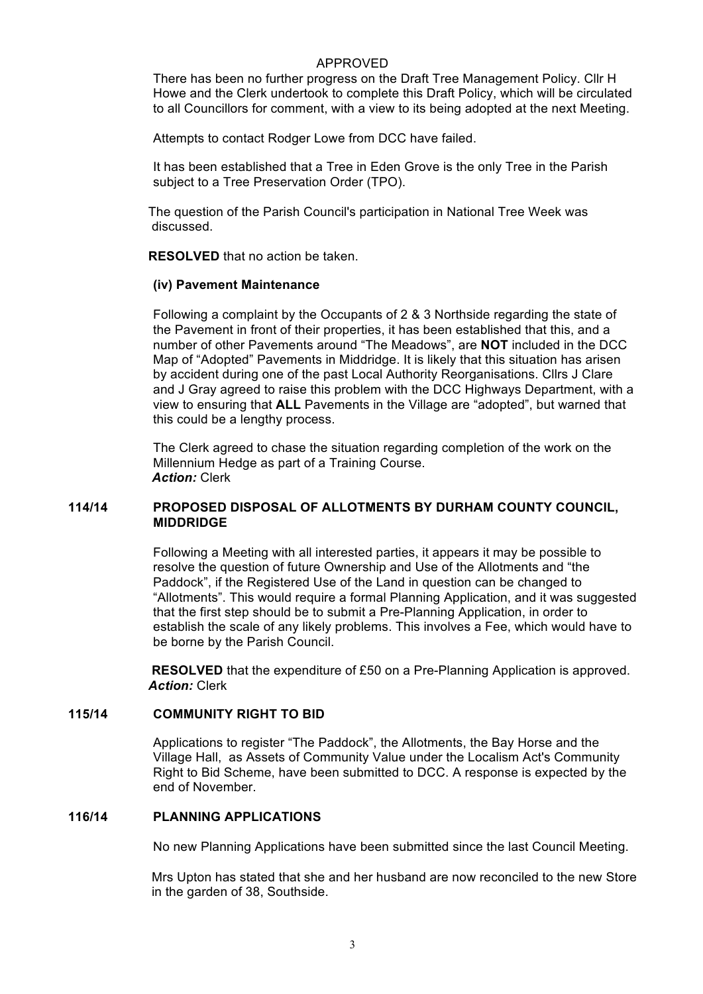There has been no further progress on the Draft Tree Management Policy. Cllr H Howe and the Clerk undertook to complete this Draft Policy, which will be circulated to all Councillors for comment, with a view to its being adopted at the next Meeting.

Attempts to contact Rodger Lowe from DCC have failed.

It has been established that a Tree in Eden Grove is the only Tree in the Parish subject to a Tree Preservation Order (TPO).

The question of the Parish Council's participation in National Tree Week was discussed.

**RESOLVED** that no action be taken.

#### **(iv) Pavement Maintenance**

Following a complaint by the Occupants of 2 & 3 Northside regarding the state of the Pavement in front of their properties, it has been established that this, and a number of other Pavements around "The Meadows", are **NOT** included in the DCC Map of "Adopted" Pavements in Middridge. It is likely that this situation has arisen by accident during one of the past Local Authority Reorganisations. Cllrs J Clare and J Gray agreed to raise this problem with the DCC Highways Department, with a view to ensuring that **ALL** Pavements in the Village are "adopted", but warned that this could be a lengthy process.

The Clerk agreed to chase the situation regarding completion of the work on the Millennium Hedge as part of a Training Course. *Action:* Clerk

#### **114/14 PROPOSED DISPOSAL OF ALLOTMENTS BY DURHAM COUNTY COUNCIL, MIDDRIDGE**

Following a Meeting with all interested parties, it appears it may be possible to resolve the question of future Ownership and Use of the Allotments and "the Paddock", if the Registered Use of the Land in question can be changed to "Allotments". This would require a formal Planning Application, and it was suggested that the first step should be to submit a Pre-Planning Application, in order to establish the scale of any likely problems. This involves a Fee, which would have to be borne by the Parish Council.

**RESOLVED** that the expenditure of £50 on a Pre-Planning Application is approved. *Action:* Clerk

#### **115/14 COMMUNITY RIGHT TO BID**

Applications to register "The Paddock", the Allotments, the Bay Horse and the Village Hall, as Assets of Community Value under the Localism Act's Community Right to Bid Scheme, have been submitted to DCC. A response is expected by the end of November.

### **116/14 PLANNING APPLICATIONS**

No new Planning Applications have been submitted since the last Council Meeting.

Mrs Upton has stated that she and her husband are now reconciled to the new Store in the garden of 38, Southside.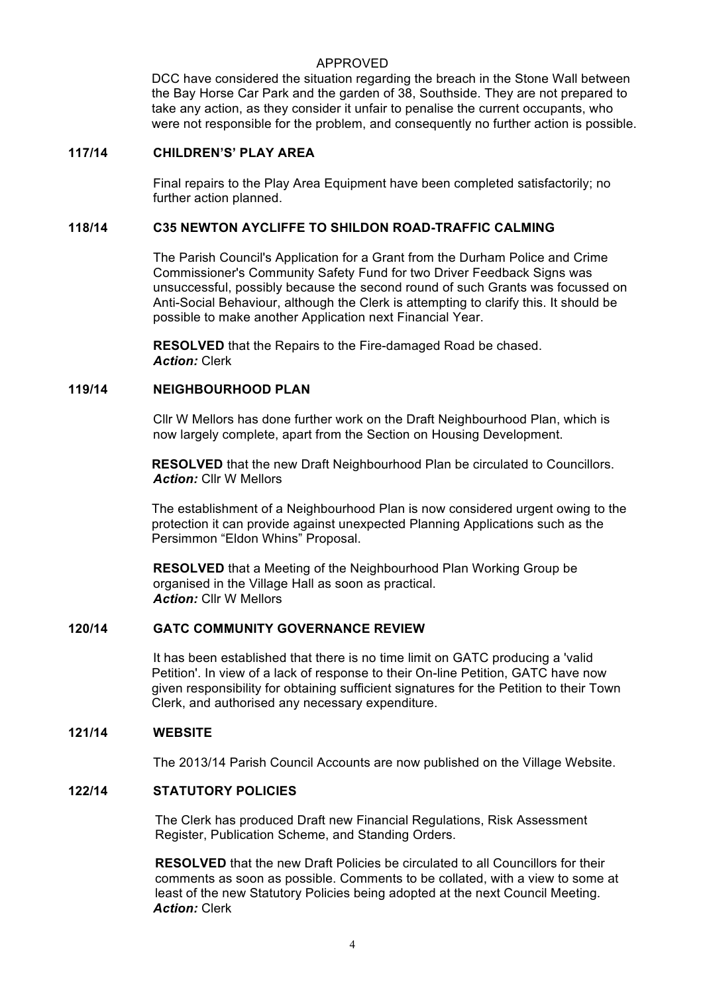DCC have considered the situation regarding the breach in the Stone Wall between the Bay Horse Car Park and the garden of 38, Southside. They are not prepared to take any action, as they consider it unfair to penalise the current occupants, who were not responsible for the problem, and consequently no further action is possible.

#### **117/14 CHILDREN'S' PLAY AREA**

Final repairs to the Play Area Equipment have been completed satisfactorily; no further action planned.

# **118/14 C35 NEWTON AYCLIFFE TO SHILDON ROAD-TRAFFIC CALMING**

The Parish Council's Application for a Grant from the Durham Police and Crime Commissioner's Community Safety Fund for two Driver Feedback Signs was unsuccessful, possibly because the second round of such Grants was focussed on Anti-Social Behaviour, although the Clerk is attempting to clarify this. It should be possible to make another Application next Financial Year.

**RESOLVED** that the Repairs to the Fire-damaged Road be chased. *Action:* Clerk

## **119/14 NEIGHBOURHOOD PLAN**

Cllr W Mellors has done further work on the Draft Neighbourhood Plan, which is now largely complete, apart from the Section on Housing Development.

**RESOLVED** that the new Draft Neighbourhood Plan be circulated to Councillors. *Action:* Cllr W Mellors

The establishment of a Neighbourhood Plan is now considered urgent owing to the protection it can provide against unexpected Planning Applications such as the Persimmon "Eldon Whins" Proposal.

**RESOLVED** that a Meeting of the Neighbourhood Plan Working Group be organised in the Village Hall as soon as practical. *Action:* Cllr W Mellors

## **120/14 GATC COMMUNITY GOVERNANCE REVIEW**

It has been established that there is no time limit on GATC producing a 'valid Petition'. In view of a lack of response to their On-line Petition, GATC have now given responsibility for obtaining sufficient signatures for the Petition to their Town Clerk, and authorised any necessary expenditure.

#### **121/14 WEBSITE**

The 2013/14 Parish Council Accounts are now published on the Village Website.

## **122/14 STATUTORY POLICIES**

The Clerk has produced Draft new Financial Regulations, Risk Assessment Register, Publication Scheme, and Standing Orders.

**RESOLVED** that the new Draft Policies be circulated to all Councillors for their comments as soon as possible. Comments to be collated, with a view to some at least of the new Statutory Policies being adopted at the next Council Meeting. *Action:* Clerk